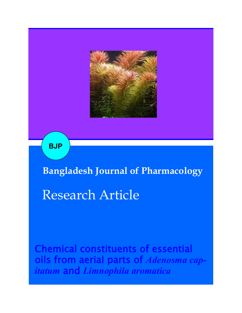

**BJP**

**Bangladesh Journal of Pharmacology** 

# Research Article

Chemical constituents of essential oils from aerial parts of *Adenosma capitatum* and *Limnophila aromatica*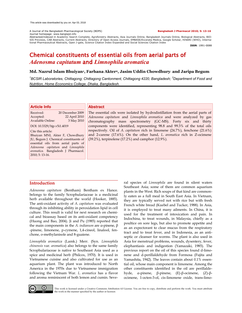#### A Journal of the Bangladesh Pharmacological Society (BDPS) **Bangladesh J Pharmacol 2010; 5: 13-16** Journal homepage: www.banglajol.info

Abstracted/indexed in Academic Search Complete, Agroforestry Abstracts, Asia Journals Online, Bangladesh Journals Online, Biological Abstracts, BIO-<br>SIS Previews, CAB Abstracts, Current Abstracts, Directory of Open Access tional Pharmaceutical Abstracts, Open J-gate, Science Citation Index Expanded and Social Sciences Citation Index

**ISSN**: 1991-0088

## Chemical constituents of essential oils from aerial parts of *Adenosma capitatum* and *Limnophila aromatica*

#### **Md. Nazrul Islam Bhuiyan<sup>1</sup> , Farhana Akter2, Jasim Uddin Chowdhury<sup>1</sup> and Jaripa Begum<sup>1</sup>**

*<sup>1</sup>BCSIR Laboratories, Chittagong; Chittagong Cantonment, Chittagong 4220, Bangladesh; <sup>2</sup>Department of Food and Nutrition, Home Economics College, Dhaka, Bangladesh.*

#### **Article Info**

Received: 20 December 2009 Accepted: 22 April 2010 Available Online: 3 May 2010

DOI: 10.3329/bjp.v5i1.4019

Cite this article:

Bhuiyan MNI, Akter F, Chowdhury JU, Begum J. Chemical constituents of essential oils from aerial parts of *Adenosma capitatum* and *Limnophila aromatica.* Bangladesh J Pharmacol. 2010; 5: 13-16.

#### **Abstract**

The essential oils were isolated by hydrodistillation from the aerial parts of *Adenosma capitatum* and *Limnophila aromatica* and were analyzed by gas chromatography mass spectrometry (GC-MS). Forty six and thirty components were identified, representing 98.8 and 99.3% of the total oils respectively. Oil of *A. capitatum* rich in limonene (24.7%), fenchone (21.6%) and 2-carene (17.6%). On the other hand, *L. aromatica* rich in Z-ocimene (39.2%), terpinolene (17.2%) and camphor (12.9%).

#### **Introduction**

*Adenosma capitatum* (Bentham) Bentham ex Hance. belongs to the family Scrophulariaceae is a medicinal herb available throughout the world (Hooker, 1885). The anti-oxidant activity of *A. capitatum* was evaluated through its inhibiting ability in peroxidation lipid in cell culture. This result is valid for next research on chemical and bioassay based on its anti-oxidant competency (Huong and Bao, 2004). Ji and Pu (1985) reported that the main components in the *A. indianum* are  $\alpha$ -pinene,  $\beta$ -pinene, limonene, p-cymene, 1,4-cineol, linalool, fenchone, o-methylanisole and 8-guaiene.

*Limnophila aromatica* (Lamk.) Merr. (Syn. *Limnophila chinensis* var. *aromatica*) also belongs to the same family Scrophulariaceae is native to Southeast Asia used as a spice and medicinal herb (Philcox, 1970). It is used in Vietnamese cuisine and also cultivated for use as an aquarium plant. The plant was introduced to North America in the 1970s due to Vietnamese immigration following the Vietnam War. *L. aromatica* has a flavor and aroma reminiscent of both lemon and cumin. Seve-

ral species of *Limnophila* are found in silent waters Southeast Asia; some of them are common aquarium plants in the West. Rich soups of that kind are commonly eaten as a full meal in South East Asia. In Vietnam, they are typically served not with rice but with fresh French white bread (Kuebel and Tucker, 1988). In Asia, it is employed to treat many ailments. In China, it is used for the treatment of intoxication and pain. In Indochina, to treat wounds, in Malaysia, chiefly as a poultice on sore legs, but also to promote appetite and as an expectorant to clear mucus from the respiratory tract and to treat fever, and in Indonesia, as an antiseptic or cleanser for worms. The plant is also used in Asia for menstrual problems, wounds, dysentery, fever, elephantiasis and indigestion (Yamazaki, 1985). The previous report on the oil of this species found d-limonene and d-perillaldehyde from Formosa (Fujita and Yamashita, 1942). The leaves contain about 0.1% essential oil, whose main component is limonene. Among the other constituents identified in the oil are perillaldehyde,  $\alpha$ -pinene,  $\beta$ -pinene,  $(E)$ - $\beta$ -ocimene,  $(Z)$ - $\beta$ ocimene, 1-octen-3-ol, cis-limonene oxide, trans-limo-



This work is licensed under a Creative Commons Attribution 4.0 License. You are free to copy, distribute and perform the work. You must attribute the work in the manner specified by the author or licensor.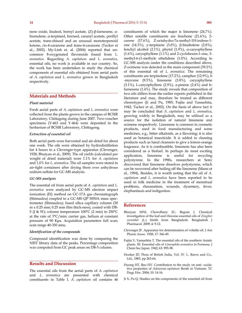nene oxide, linalool, bornyl acetate,  $(Z)$ -β-farnesene, αhumulene, a-terpineol, borneol, caranyl acetate, perillyl acetate, trans-shisool and an unusual monoterpenoid ketone, cis-4-caranone and trans-4-caranone (Tucker et al., 2002). My-Linh et. al. (2004) reported that uncommon 8-oxygenated flavonoids found from *L. aromatica.* Regarding *A. capitatum* and *L. aromatica,* essential oils, no work is available in our country. So, the work has been undertaken to study the chemical components of essential oils obtained from aerial parts of *A. capitatum* and *L. aromatica* grown in Bangladesh respectively.

#### **Materials and Methods**

#### *Plant material*

Fresh aerial parts of *A. capitatum* and *L. aromatica* were collected from the plants grown in the campus of BCSIR Laboratory, Chittagong during June 2007. Two-voucher specimens (Y-463 and Y-464) were deposited in the herbarium of BCSIR Laboratory, Chittagong.

#### *Extraction of essential oil*

Both aerial parts were harvested and air-dried for about one week. The oils were obtained by hydrodistillation for 4 hours in a Clevenger-type apparatus (Clevenger, 1928; Bhuiyan et al., 2009). The oil yields (calculated per weight of dried material) were 1.1% for *A. capitatum* and 1.0% for *L. aromatica*. The oil samples were stored in air-tight containers after drying them over anhydrous sodium sulfate for GC-MS analysis.

#### *GC-MS analysis*

The essential oil from aerial parts of *A. capitatum* and *L. aromatica* were analyzed by GC-MS electron impact ionization (EI) method on GC-17A gas chromatograph (Shimadzu) coupled to a GC-MS QP 5050A mass spectrometer (Shimadzu); fused silica capillary column (30 m x 0.25 mm; 0.25 mm film thick-ness), coated with DB-5 (J & W); column temperature 100°C (2 min) to 250°C at the rate of 3°C/min; carrier gas, helium at constant pressure of 90 Kpa. Acquisition parameters full scan; scan range 40-350 amu.

#### *Identification of the compounds*

Compound identification was done by comparing the NIST library data of the peaks. Percentage composition was computed from GC peak areas on DB-5 column.

### **Results and Discussion**

The essential oils from the aerial parts of *A. capitatum*  and *L. aromatica* are presented with chemical constituents in Table I. *A. capitatum* oil contains 46 constituents of which the major is limonene (24.7%). Other notable constituents are fenchone (21.6%), 2 carene (17.6%), Z-octahydro-7a-methyl-1H-indene-1 one (14.3%), y-terpinene (3.0%), β-bisabolene (2.8%), fenchyl alcohol (2.1%), phytol (1.9%),  $\alpha$ -caryophyllene (1.6%), caryophyllene (1.1%) and 2-cyclohexen-1-one, 3 methyl-6-(1-methyle ethelidene (1.0%). According to GC-MS analysis under the conditions described above, Z-ocimene was detected as the main component (39.2%) of this essential oil of *L. aromatica*. The remaining constituents are terpinolene (17.2%), camphor (12.9%), b -myrcene (9.5%), limonene (3.8%), caryophyllene (3.1%), L-caryophyllene (2.9%), a-pinene (2.4%) and bfarnesene (1.4%). The study reveals that composition of two oils differs from the earlier reports published in the literature and may, therefore be treated as different chemotypes (Ji and Pu, 1985; Fujita and Yamashita, 1942; Tucker et al., 2002). On the basis of above fact it may be concluded that *A. capitatum* and *L. aromatica*, growing widely in Bangladesh, may be utilized as a source for the isolation of natural limonene and ocimene respectively. Limonene is common in cosmetic products, used in food manufacturing and some medicines, e.g., bitter alkaloids, as a flavoring; it is also used as botanical insecticide. It is added to cleaning products such as hand cleansers to give a lemon-orange fragrance. As it is combustible, limonene has also been considered as a biofuel. In perhaps its most exciting application, limonene is useful for recycling polystyrene. In the 1990s, researchers at Sony discovered that limonene dissolves polystyrene, which can be recovered after boiling off the limonene (Mann et al., 1994). Besides, it is worth noting that the oil of *A. capitatum* and *L. aromatica* have been reported to be used in folk medicine in the treatment of menstrual problems, rheumatism, wounds, dysentery, fever, elephantiasis and indigestion.

### **References**

- Bhuiyan MNI, Chowdhury JU, Begum J. Chemical investigation of the leaf and rhizome essential oils of *Zingiber zerumbet* (L.) Smith from Bangladesh. Bangladesh J Pharmacol. 2009; 4: 9-12.
- Clevenger JF. Apparatus for determination of volatile oil. J Am Pharm Assoc. 1928; 17: 346-49.
- Fujita Y, Yamashita T. The essential oils of the southern Asiatic plants. III. Essential oils of *Limonphila aromatica* in Formosa. J Chem Soc Japan. 1942; 63: 995-98.
- Hooker JD. Flora of British India. Vol. IV. L. Reeve and Co., Ltd., 1885, pp 263-64.
- Huong HT, Bao HV. Contribution to the study on anti- oxidative properties of *Adenosma capitatum* Benth in Vietnam. TC Dugc Hoc. 2004; 10: 14-16.
- Ji X, Pu Q. Studies on the components of the essential oil from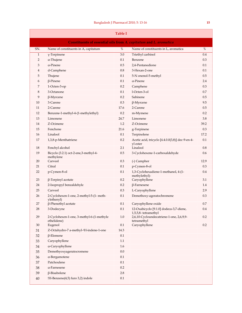| <b>Table I</b>                                                    |                                                          |            |                                                                |            |  |  |  |
|-------------------------------------------------------------------|----------------------------------------------------------|------------|----------------------------------------------------------------|------------|--|--|--|
| Constituents of essential oils from A. capitatum and L. aromatica |                                                          |            |                                                                |            |  |  |  |
| SN.                                                               | Name of constituents in A, capitatum                     | $\%$       | Name of constituents in L, aromatica                           | $\%$       |  |  |  |
| $\mathbf{1}$                                                      | $\gamma$ -Terpinene                                      | 3.0        | Triethyl carbinol                                              | 0.4        |  |  |  |
| $\overline{2}$                                                    | a-Thujene                                                | 0.1        | Benzene                                                        | 0.3        |  |  |  |
| 3                                                                 | a-Pinene                                                 | 0.5        | 2,4-Pentanedione                                               | 0.1        |  |  |  |
| 4                                                                 | d-Camphene                                               | 0.8        | 3-Hexan-2-one                                                  | 0.1        |  |  |  |
| 5                                                                 | Thujene                                                  | 0.1        | 5-N onenol-5-methyl                                            | 0.5        |  |  |  |
| 6                                                                 | $\beta$ -Pinene                                          | 0.1        | a-Pinene                                                       | 2.4        |  |  |  |
| 7                                                                 | 1-Octen-3-op                                             | 0.2        | Camphene                                                       | 0.3        |  |  |  |
| 8                                                                 | 3-Octanone                                               | 0.1        | 1-Octen-3-ol                                                   | 0.7        |  |  |  |
| 9                                                                 | $\beta$ -Myrcene                                         | 0.2        | Sabinene                                                       | 0.5        |  |  |  |
| 10                                                                | 3-Carene                                                 | 0.3        | $\beta$ -Myrcene                                               | 9.5        |  |  |  |
| 11                                                                | 2-Carene                                                 | 17.6       | 2-Carene                                                       | 0.5        |  |  |  |
| 12                                                                | Benzene-1-methyl-4-(1-methylethyl)                       | 0.2        | m-Mymene                                                       | 0.2        |  |  |  |
| 13                                                                | Limonene                                                 | 24.7       | Limonene                                                       | 3.8        |  |  |  |
| 14                                                                | Z-Ocimene                                                | 1.2        | Z-Ocimene                                                      | 39.2       |  |  |  |
| 15                                                                | Fenchone                                                 | 21.6       | g-Terpinene                                                    | 0.3        |  |  |  |
| 16                                                                | Linalool                                                 | 0.1        | Terpinolene                                                    | 17.2       |  |  |  |
| 17                                                                | 1,3,8-p-Menthatriene                                     | 0.2        | Acetic acid, tricyclo [4.4.0.0(3,8)] dec-9-en-4-<br>yl ester   | 0.1        |  |  |  |
| 18                                                                | Fenchyl alcohol                                          | 2.1        | Linalool                                                       | 0.8        |  |  |  |
| 19                                                                | Bicyclo (3.2.1) oct-2-ene,3-methyl-4-<br>methylene       | 0.5        | 3-Cyclohexene-1-carboxaldehyde                                 | 0.6        |  |  |  |
| 20                                                                | Carveol                                                  | 0.3        | (-) Camphor                                                    | 12.9       |  |  |  |
| 21                                                                | Citral                                                   | 0.1        | p-Cymen-8-ol                                                   | 0.3        |  |  |  |
| 22                                                                | p-Cymen-8-ol                                             | 0.1        | 1,3-Cyclohexadiene-1-methanol, 4-(1-<br>methylethyl)-          | 0.4        |  |  |  |
| 23                                                                | $\beta$ -Terpinyl acetate                                | 0.2        | Caryophyllene                                                  | 3.1        |  |  |  |
| 24                                                                | 2-Isopropyl benzaldehyle                                 | 0.2        | $\beta$ -Farnesene                                             | 1.4        |  |  |  |
| 25<br>26                                                          | Carveol<br>2-Cyclohexen-1-one, 2-methyl-5-(1- meth-      | 0.3<br>0.1 | L-Caryophyllene<br>Demethoxy-ageratochromene                   | 2.9<br>0.3 |  |  |  |
| 27                                                                | ylethenyl)<br>$\beta$ -Phenethyl acetate                 | 0.1        | Caryophyllene oxide                                            | 0.7        |  |  |  |
| 28                                                                | 3-Dodecyne                                               | $0.1\,$    | 12-Oxabicyclo [9.1.0] dodeca-3,7-diene,<br>1,5,5,8-tetramethyl | $0.4\,$    |  |  |  |
| 29                                                                | 2-Cyclohexen-1-one, 3-methyl-6-(1-methyle<br>ethelidene) | $1.0\,$    | 2,6,10-Cycloundecatriene-1-one, 2,6,9,9-<br>tetramethyl        | 0.2        |  |  |  |
| $30\,$                                                            | Eugenol                                                  | 0.1        | Caryophyllene                                                  | 0.2        |  |  |  |
| 31                                                                | Z-Octahydro-7 a-methyl- <sup>1</sup> H-indene-1-one      | 14.3       |                                                                |            |  |  |  |
| 32                                                                | $\beta$ -Elemene                                         | $0.1\,$    |                                                                |            |  |  |  |
| 33                                                                | Caryophyllene                                            | 1.1        |                                                                |            |  |  |  |
| 34                                                                | a-Caryophyllene                                          | 1.6        |                                                                |            |  |  |  |
| 35                                                                | Demethyoxyageratocromene                                 | $0.0\,$    |                                                                |            |  |  |  |
| 36                                                                | a-Bergamotene                                            | $0.1\,$    |                                                                |            |  |  |  |
| 37                                                                | Patchoulene                                              | 0.1        |                                                                |            |  |  |  |
| 38                                                                | a-Farnesene                                              | $0.2\,$    |                                                                |            |  |  |  |
| 39                                                                | $\beta$ -Bisabolene                                      | 2.8        |                                                                |            |  |  |  |
| 40                                                                | !H-Benzene(4,5) furo 3,2) indole                         | 0.1        |                                                                |            |  |  |  |